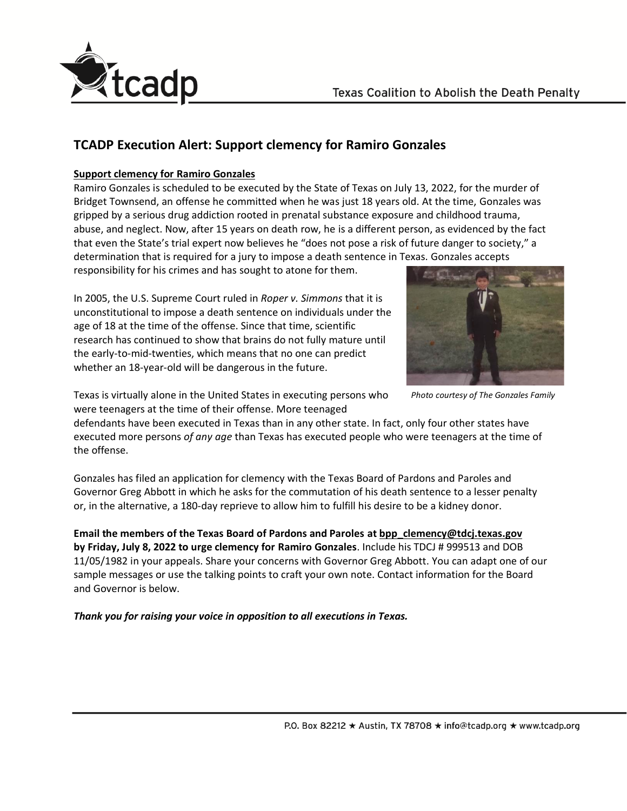

# **TCADP Execution Alert: Support clemency for Ramiro Gonzales**

## **Support clemency for Ramiro Gonzales**

Ramiro Gonzales is scheduled to be executed by the State of Texas on July 13, 2022, for the murder of Bridget Townsend, an offense he committed when he was just 18 years old. At the time, Gonzales was gripped by a serious drug addiction rooted in prenatal substance exposure and childhood trauma, abuse, and neglect. Now, after 15 years on death row, he is a different person, as evidenced by the fact that even the State's trial expert now believes he "does not pose a risk of future danger to society," a determination that is required for a jury to impose a death sentence in Texas. Gonzales accepts

responsibility for his crimes and has sought to atone for them.

In 2005, the U.S. Supreme Court ruled in *Roper v. Simmons* that it is unconstitutional to impose a death sentence on individuals under the age of 18 at the time of the offense. Since that time, scientific research has continued to show that brains do not fully mature until the early-to-mid-twenties, which means that no one can predict whether an 18-year-old will be dangerous in the future.



*Photo courtesy of The Gonzales Family*

Texas is virtually alone in the United States in executing persons who were teenagers at the time of their offense. More teenaged

defendants have been executed in Texas than in any other state. In fact, only four other states have executed more persons *of any age* than Texas has executed people who were teenagers at the time of the offense.

Gonzales has filed an application for clemency with the Texas Board of Pardons and Paroles and Governor Greg Abbott in which he asks for the commutation of his death sentence to a lesser penalty or, in the alternative, a 180-day reprieve to allow him to fulfill his desire to be a kidney donor.

**Email the members of the Texas Board of Pardons and Paroles a[t bpp\\_clemency@tdcj.texas.gov](mailto:bpp-clemency@tdcj.texas.gov) by Friday, July 8, 2022 to urge clemency for Ramiro Gonzales**. Include his TDCJ # 999513 and DOB 11/05/1982 in your appeals. Share your concerns with Governor Greg Abbott. You can adapt one of our sample messages or use the talking points to craft your own note. Contact information for the Board and Governor is below.

*Thank you for raising your voice in opposition to all executions in Texas.*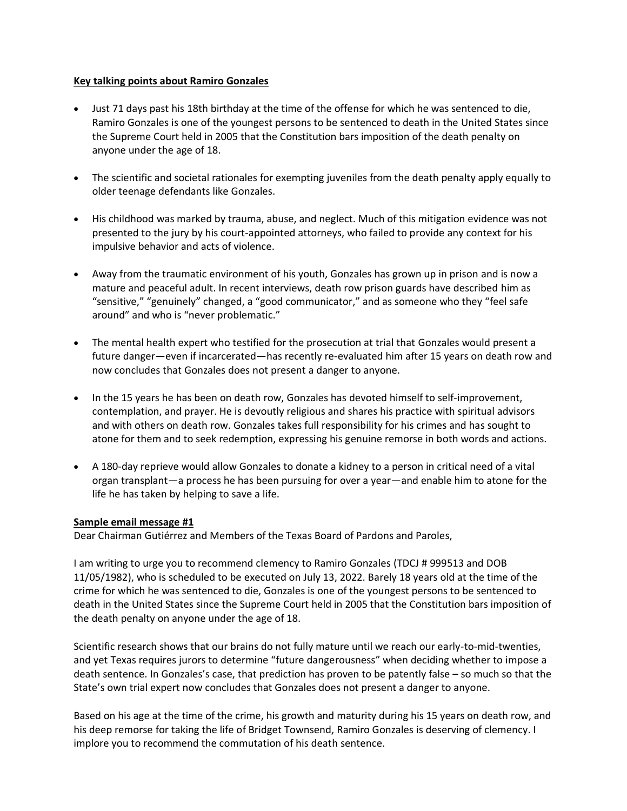### **Key talking points about Ramiro Gonzales**

- Just 71 days past his 18th birthday at the time of the offense for which he was sentenced to die, Ramiro Gonzales is one of the youngest persons to be sentenced to death in the United States since the Supreme Court held in 2005 that the Constitution bars imposition of the death penalty on anyone under the age of 18.
- The scientific and societal rationales for exempting juveniles from the death penalty apply equally to older teenage defendants like Gonzales.
- His childhood was marked by trauma, abuse, and neglect. Much of this mitigation evidence was not presented to the jury by his court-appointed attorneys, who failed to provide any context for his impulsive behavior and acts of violence.
- Away from the traumatic environment of his youth, Gonzales has grown up in prison and is now a mature and peaceful adult. In recent interviews, death row prison guards have described him as "sensitive," "genuinely" changed, a "good communicator," and as someone who they "feel safe around" and who is "never problematic."
- The mental health expert who testified for the prosecution at trial that Gonzales would present a future danger—even if incarcerated—has recently re-evaluated him after 15 years on death row and now concludes that Gonzales does not present a danger to anyone.
- In the 15 years he has been on death row, Gonzales has devoted himself to self-improvement, contemplation, and prayer. He is devoutly religious and shares his practice with spiritual advisors and with others on death row. Gonzales takes full responsibility for his crimes and has sought to atone for them and to seek redemption, expressing his genuine remorse in both words and actions.
- A 180-day reprieve would allow Gonzales to donate a kidney to a person in critical need of a vital organ transplant—a process he has been pursuing for over a year—and enable him to atone for the life he has taken by helping to save a life.

## **Sample email message #1**

Dear Chairman Gutiérrez and Members of the Texas Board of Pardons and Paroles,

I am writing to urge you to recommend clemency to Ramiro Gonzales (TDCJ # 999513 and DOB 11/05/1982), who is scheduled to be executed on July 13, 2022. Barely 18 years old at the time of the crime for which he was sentenced to die, Gonzales is one of the youngest persons to be sentenced to death in the United States since the Supreme Court held in 2005 that the Constitution bars imposition of the death penalty on anyone under the age of 18.

Scientific research shows that our brains do not fully mature until we reach our early-to-mid-twenties, and yet Texas requires jurors to determine "future dangerousness" when deciding whether to impose a death sentence. In Gonzales's case, that prediction has proven to be patently false – so much so that the State's own trial expert now concludes that Gonzales does not present a danger to anyone.

Based on his age at the time of the crime, his growth and maturity during his 15 years on death row, and his deep remorse for taking the life of Bridget Townsend, Ramiro Gonzales is deserving of clemency. I implore you to recommend the commutation of his death sentence.